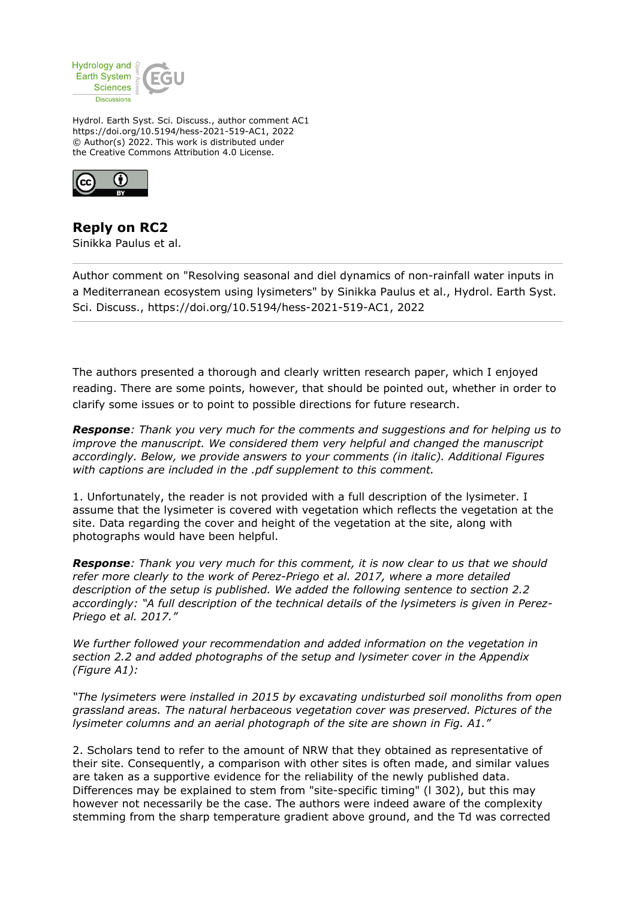

Hydrol. Earth Syst. Sci. Discuss., author comment AC1 https://doi.org/10.5194/hess-2021-519-AC1, 2022 © Author(s) 2022. This work is distributed under the Creative Commons Attribution 4.0 License.



**Reply on RC2** Sinikka Paulus et al.

Author comment on "Resolving seasonal and diel dynamics of non-rainfall water inputs in a Mediterranean ecosystem using lysimeters" by Sinikka Paulus et al., Hydrol. Earth Syst. Sci. Discuss., https://doi.org/10.5194/hess-2021-519-AC1, 2022

The authors presented a thorough and clearly written research paper, which I enjoyed reading. There are some points, however, that should be pointed out, whether in order to clarify some issues or to point to possible directions for future research.

*Response: Thank you very much for the comments and suggestions and for helping us to improve the manuscript. We considered them very helpful and changed the manuscript accordingly. Below, we provide answers to your comments (in italic). Additional Figures with captions are included in the .pdf supplement to this comment.*

1. Unfortunately, the reader is not provided with a full description of the lysimeter. I assume that the lysimeter is covered with vegetation which reflects the vegetation at the site. Data regarding the cover and height of the vegetation at the site, along with photographs would have been helpful.

*Response: Thank you very much for this comment, it is now clear to us that we should refer more clearly to the work of Perez-Priego et al. 2017, where a more detailed description of the setup is published. We added the following sentence to section 2.2 accordingly: "A full description of the technical details of the lysimeters is given in Perez-Priego et al. 2017."*

*We further followed your recommendation and added information on the vegetation in section 2.2 and added photographs of the setup and lysimeter cover in the Appendix (Figure A1):*

*"The lysimeters were installed in 2015 by excavating undisturbed soil monoliths from open grassland areas. The natural herbaceous vegetation cover was preserved. Pictures of the lysimeter columns and an aerial photograph of the site are shown in Fig. A1."*

2. Scholars tend to refer to the amount of NRW that they obtained as representative of their site. Consequently, a comparison with other sites is often made, and similar values are taken as a supportive evidence for the reliability of the newly published data. Differences may be explained to stem from "site-specific timing" (l 302), but this may however not necessarily be the case. The authors were indeed aware of the complexity stemming from the sharp temperature gradient above ground, and the Td was corrected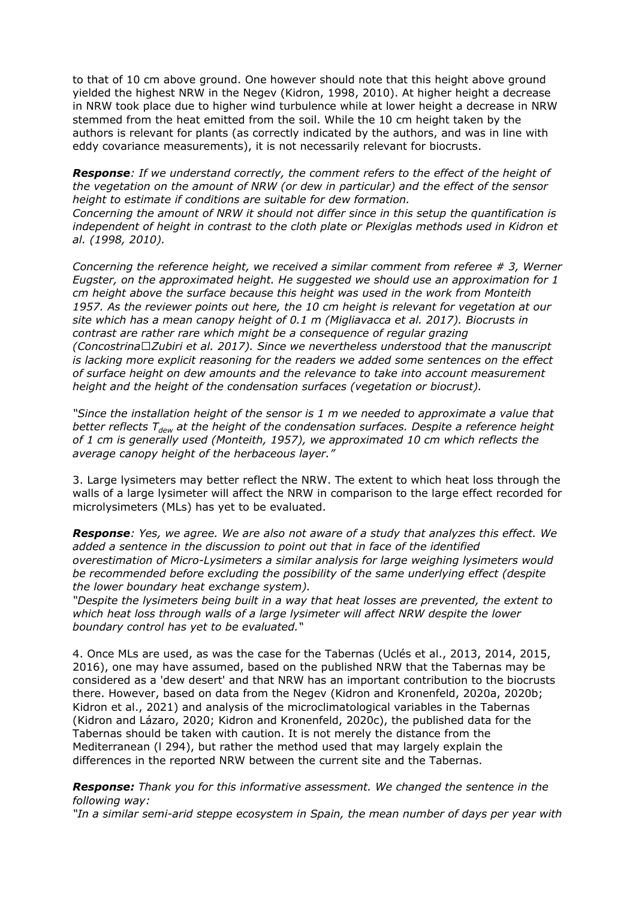to that of 10 cm above ground. One however should note that this height above ground yielded the highest NRW in the Negev (Kidron, 1998, 2010). At higher height a decrease in NRW took place due to higher wind turbulence while at lower height a decrease in NRW stemmed from the heat emitted from the soil. While the 10 cm height taken by the authors is relevant for plants (as correctly indicated by the authors, and was in line with eddy covariance measurements), it is not necessarily relevant for biocrusts.

*Response: If we understand correctly, the comment refers to the effect of the height of the vegetation on the amount of NRW (or dew in particular) and the effect of the sensor height to estimate if conditions are suitable for dew formation. Concerning the amount of NRW it should not differ since in this setup the quantification is independent of height in contrast to the cloth plate or Plexiglas methods used in Kidron et al. (1998, 2010).* 

*Concerning the reference height, we received a similar comment from referee # 3, Werner Eugster, on the approximated height. He suggested we should use an approximation for 1 cm height above the surface because this height was used in the work from Monteith 1957. As the reviewer points out here, the 10 cm height is relevant for vegetation at our site which has a mean canopy height of 0.1 m (Migliavacca et al. 2017). Biocrusts in contrast are rather rare which might be a consequence of regular grazing (Concostrina‐Zubiri et al. 2017). Since we nevertheless understood that the manuscript is lacking more explicit reasoning for the readers we added some sentences on the effect of surface height on dew amounts and the relevance to take into account measurement height and the height of the condensation surfaces (vegetation or biocrust).*

*"Since the installation height of the sensor is 1 m we needed to approximate a value that better reflects Tdew at the height of the condensation surfaces. Despite a reference height of 1 cm is generally used (Monteith, 1957), we approximated 10 cm which reflects the average canopy height of the herbaceous layer."*

3. Large lysimeters may better reflect the NRW. The extent to which heat loss through the walls of a large lysimeter will affect the NRW in comparison to the large effect recorded for microlysimeters (MLs) has yet to be evaluated.

*Response: Yes, we agree. We are also not aware of a study that analyzes this effect. We added a sentence in the discussion to point out that in face of the identified overestimation of Micro-Lysimeters a similar analysis for large weighing lysimeters would be recommended before excluding the possibility of the same underlying effect (despite the lower boundary heat exchange system).*

*"Despite the lysimeters being built in a way that heat losses are prevented, the extent to which heat loss through walls of a large lysimeter will affect NRW despite the lower boundary control has yet to be evaluated."*

4. Once MLs are used, as was the case for the Tabernas (Uclés et al., 2013, 2014, 2015, 2016), one may have assumed, based on the published NRW that the Tabernas may be considered as a 'dew desert' and that NRW has an important contribution to the biocrusts there. However, based on data from the Negev (Kidron and Kronenfeld, 2020a, 2020b; Kidron et al., 2021) and analysis of the microclimatological variables in the Tabernas (Kidron and Lázaro, 2020; Kidron and Kronenfeld, 2020c), the published data for the Tabernas should be taken with caution. It is not merely the distance from the Mediterranean (l 294), but rather the method used that may largely explain the differences in the reported NRW between the current site and the Tabernas.

*Response: Thank you for this informative assessment. We changed the sentence in the following way:*

*"In a similar semi-arid steppe ecosystem in Spain, the mean number of days per year with*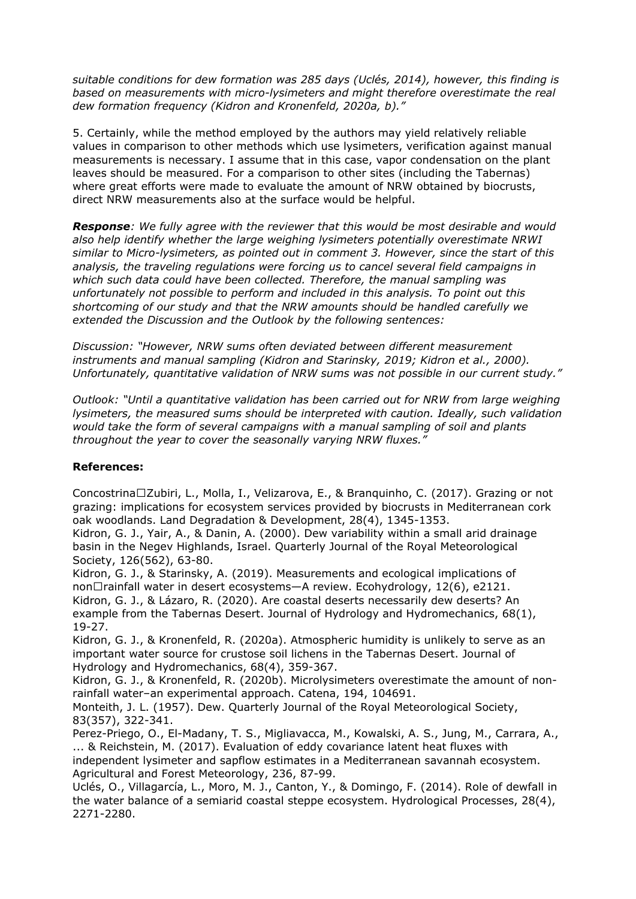*suitable conditions for dew formation was 285 days (Uclés, 2014), however, this finding is based on measurements with micro-lysimeters and might therefore overestimate the real dew formation frequency (Kidron and Kronenfeld, 2020a, b)."*

5. Certainly, while the method employed by the authors may yield relatively reliable values in comparison to other methods which use lysimeters, verification against manual measurements is necessary. I assume that in this case, vapor condensation on the plant leaves should be measured. For a comparison to other sites (including the Tabernas) where great efforts were made to evaluate the amount of NRW obtained by biocrusts, direct NRW measurements also at the surface would be helpful.

*Response: We fully agree with the reviewer that this would be most desirable and would also help identify whether the large weighing lysimeters potentially overestimate NRWI similar to Micro-lysimeters, as pointed out in comment 3. However, since the start of this analysis, the traveling regulations were forcing us to cancel several field campaigns in which such data could have been collected. Therefore, the manual sampling was unfortunately not possible to perform and included in this analysis. To point out this shortcoming of our study and that the NRW amounts should be handled carefully we extended the Discussion and the Outlook by the following sentences:*

*Discussion: "However, NRW sums often deviated between different measurement instruments and manual sampling (Kidron and Starinsky, 2019; Kidron et al., 2000). Unfortunately, quantitative validation of NRW sums was not possible in our current study."*

*Outlook: "Until a quantitative validation has been carried out for NRW from large weighing lysimeters, the measured sums should be interpreted with caution. Ideally, such validation would take the form of several campaigns with a manual sampling of soil and plants throughout the year to cover the seasonally varying NRW fluxes."*

## **References:**

Concostrina‐Zubiri, L., Molla, I., Velizarova, E., & Branquinho, C. (2017). Grazing or not grazing: implications for ecosystem services provided by biocrusts in Mediterranean cork oak woodlands. Land Degradation & Development, 28(4), 1345-1353.

Kidron, G. J., Yair, A., & Danin, A. (2000). Dew variability within a small arid drainage basin in the Negev Highlands, Israel. Quarterly Journal of the Royal Meteorological Society, 126(562), 63-80.

Kidron, G. J., & Starinsky, A. (2019). Measurements and ecological implications of non $\Box$ rainfall water in desert ecosystems—A review. Ecohydrology, 12(6), e2121. Kidron, G. J., & Lázaro, R. (2020). Are coastal deserts necessarily dew deserts? An example from the Tabernas Desert. Journal of Hydrology and Hydromechanics, 68(1), 19-27.

Kidron, G. J., & Kronenfeld, R. (2020a). Atmospheric humidity is unlikely to serve as an important water source for crustose soil lichens in the Tabernas Desert. Journal of Hydrology and Hydromechanics, 68(4), 359-367.

Kidron, G. J., & Kronenfeld, R. (2020b). Microlysimeters overestimate the amount of nonrainfall water–an experimental approach. Catena, 194, 104691.

Monteith, J. L. (1957). Dew. Quarterly Journal of the Royal Meteorological Society, 83(357), 322-341.

Perez-Priego, O., El-Madany, T. S., Migliavacca, M., Kowalski, A. S., Jung, M., Carrara, A., ... & Reichstein, M. (2017). Evaluation of eddy covariance latent heat fluxes with independent lysimeter and sapflow estimates in a Mediterranean savannah ecosystem. Agricultural and Forest Meteorology, 236, 87-99.

Uclés, O., Villagarcía, L., Moro, M. J., Canton, Y., & Domingo, F. (2014). Role of dewfall in the water balance of a semiarid coastal steppe ecosystem. Hydrological Processes, 28(4), 2271-2280.